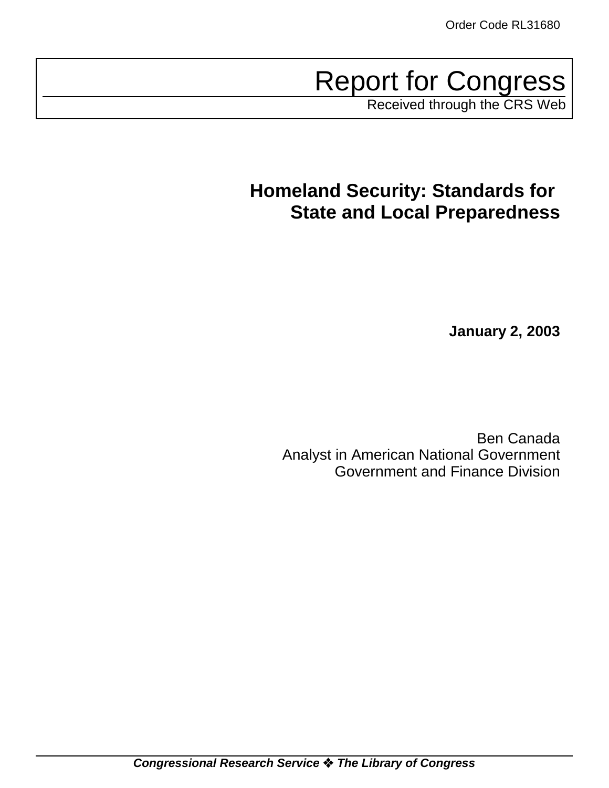Report for Congress

Received through the CRS Web

# **Homeland Security: Standards for State and Local Preparedness**

**January 2, 2003**

Ben Canada Analyst in American National Government Government and Finance Division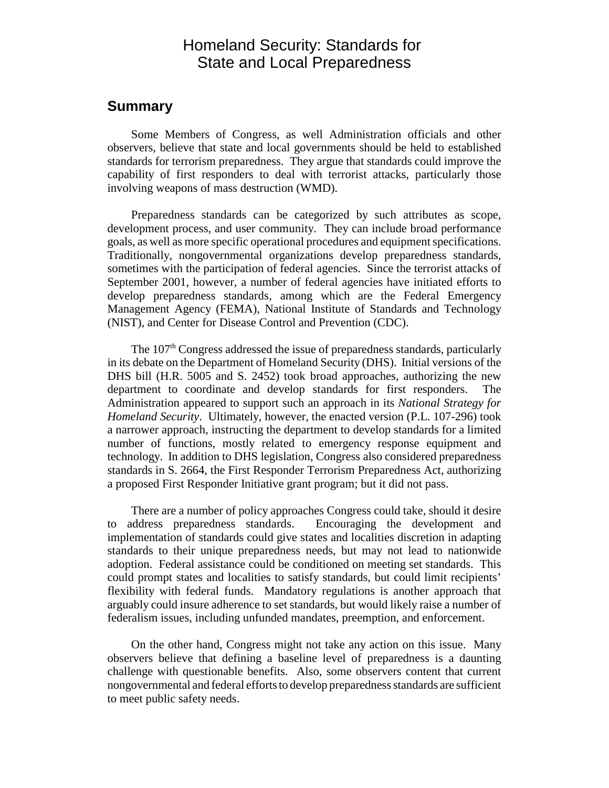# Homeland Security: Standards for State and Local Preparedness

## **Summary**

Some Members of Congress, as well Administration officials and other observers, believe that state and local governments should be held to established standards for terrorism preparedness. They argue that standards could improve the capability of first responders to deal with terrorist attacks, particularly those involving weapons of mass destruction (WMD).

Preparedness standards can be categorized by such attributes as scope, development process, and user community. They can include broad performance goals, as well as more specific operational procedures and equipment specifications. Traditionally, nongovernmental organizations develop preparedness standards, sometimes with the participation of federal agencies. Since the terrorist attacks of September 2001, however, a number of federal agencies have initiated efforts to develop preparedness standards, among which are the Federal Emergency Management Agency (FEMA), National Institute of Standards and Technology (NIST), and Center for Disease Control and Prevention (CDC).

The 107<sup>th</sup> Congress addressed the issue of preparedness standards, particularly in its debate on the Department of Homeland Security (DHS). Initial versions of the DHS bill (H.R. 5005 and S. 2452) took broad approaches, authorizing the new department to coordinate and develop standards for first responders. The Administration appeared to support such an approach in its *National Strategy for Homeland Security*. Ultimately, however, the enacted version (P.L. 107-296) took a narrower approach, instructing the department to develop standards for a limited number of functions, mostly related to emergency response equipment and technology. In addition to DHS legislation, Congress also considered preparedness standards in S. 2664, the First Responder Terrorism Preparedness Act, authorizing a proposed First Responder Initiative grant program; but it did not pass.

There are a number of policy approaches Congress could take, should it desire to address preparedness standards. Encouraging the development and implementation of standards could give states and localities discretion in adapting standards to their unique preparedness needs, but may not lead to nationwide adoption. Federal assistance could be conditioned on meeting set standards. This could prompt states and localities to satisfy standards, but could limit recipients' flexibility with federal funds. Mandatory regulations is another approach that arguably could insure adherence to set standards, but would likely raise a number of federalism issues, including unfunded mandates, preemption, and enforcement.

On the other hand, Congress might not take any action on this issue. Many observers believe that defining a baseline level of preparedness is a daunting challenge with questionable benefits. Also, some observers content that current nongovernmental and federal efforts to develop preparedness standards are sufficient to meet public safety needs.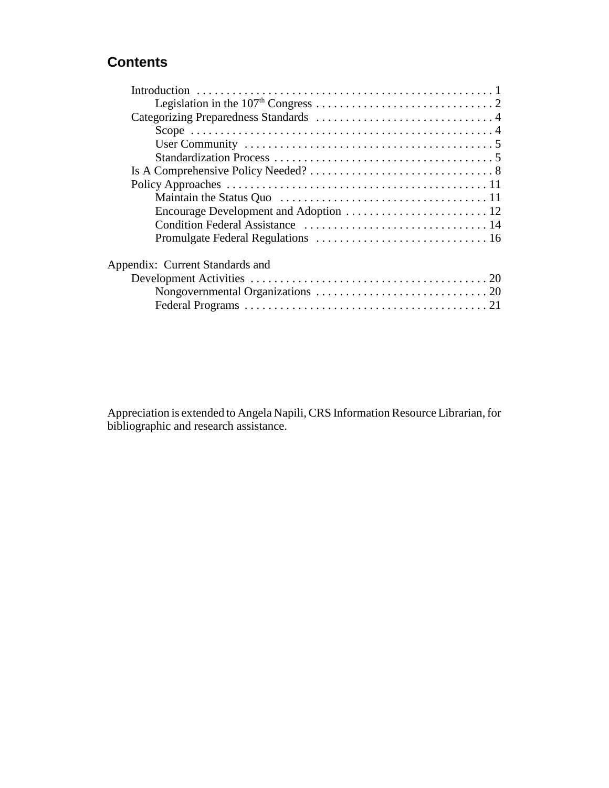# **Contents**

| Appendix: Current Standards and |
|---------------------------------|
|                                 |
|                                 |
|                                 |

Appreciation is extended to Angela Napili, CRS Information Resource Librarian, for bibliographic and research assistance.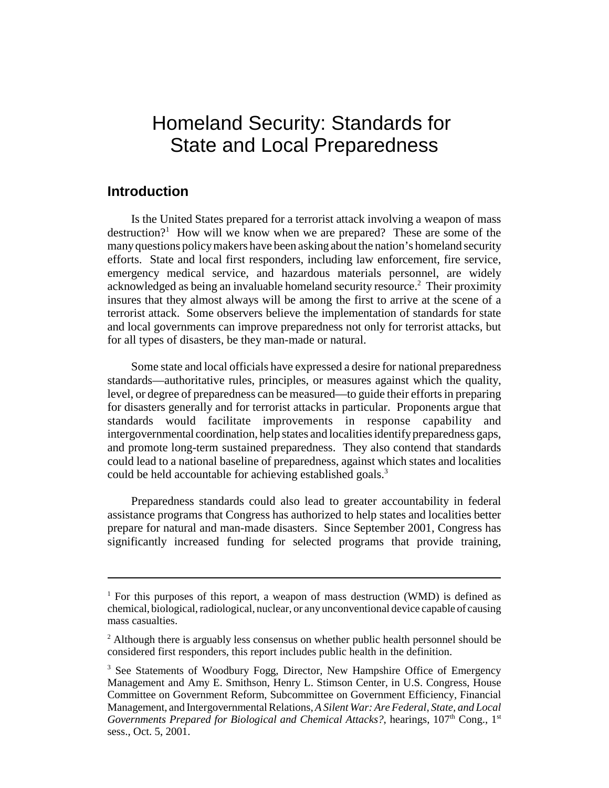# Homeland Security: Standards for State and Local Preparedness

### **Introduction**

Is the United States prepared for a terrorist attack involving a weapon of mass destruction?<sup>1</sup> How will we know when we are prepared? These are some of the many questions policy makers have been asking about the nation's homeland security efforts. State and local first responders, including law enforcement, fire service, emergency medical service, and hazardous materials personnel, are widely acknowledged as being an invaluable homeland security resource.<sup>2</sup> Their proximity insures that they almost always will be among the first to arrive at the scene of a terrorist attack. Some observers believe the implementation of standards for state and local governments can improve preparedness not only for terrorist attacks, but for all types of disasters, be they man-made or natural.

Some state and local officials have expressed a desire for national preparedness standards—authoritative rules, principles, or measures against which the quality, level, or degree of preparedness can be measured—to guide their efforts in preparing for disasters generally and for terrorist attacks in particular. Proponents argue that standards would facilitate improvements in response capability and intergovernmental coordination, help states and localities identify preparedness gaps, and promote long-term sustained preparedness. They also contend that standards could lead to a national baseline of preparedness, against which states and localities could be held accountable for achieving established goals.<sup>3</sup>

Preparedness standards could also lead to greater accountability in federal assistance programs that Congress has authorized to help states and localities better prepare for natural and man-made disasters. Since September 2001, Congress has significantly increased funding for selected programs that provide training,

<sup>&</sup>lt;sup>1</sup> For this purposes of this report, a weapon of mass destruction (WMD) is defined as chemical, biological, radiological, nuclear, or any unconventional device capable of causing mass casualties.

 $2$  Although there is arguably less consensus on whether public health personnel should be considered first responders, this report includes public health in the definition.

<sup>&</sup>lt;sup>3</sup> See Statements of Woodbury Fogg, Director, New Hampshire Office of Emergency Management and Amy E. Smithson, Henry L. Stimson Center, in U.S. Congress, House Committee on Government Reform, Subcommittee on Government Efficiency, Financial Management, and Intergovernmental Relations, *A Silent War: Are Federal, State, and Local Governments Prepared for Biological and Chemical Attacks?*, hearings, 107<sup>th</sup> Cong., 1<sup>st</sup> sess., Oct. 5, 2001.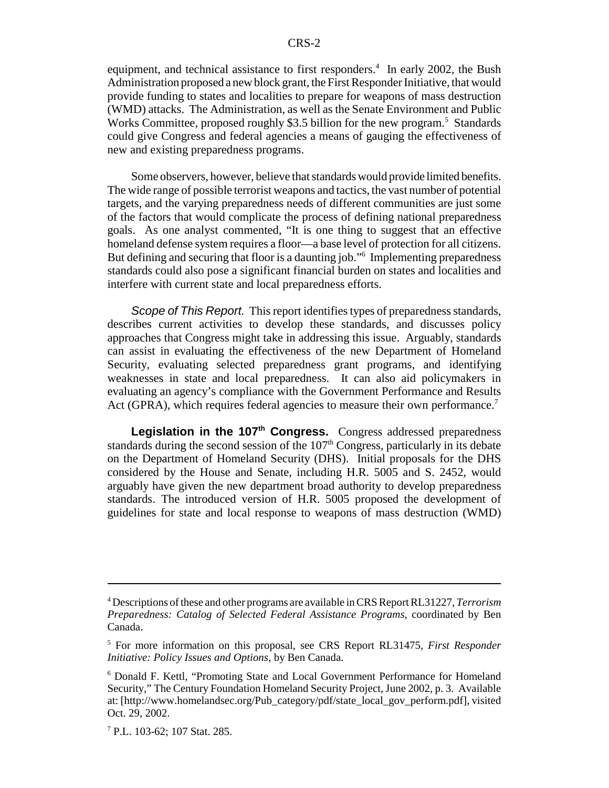equipment, and technical assistance to first responders.<sup>4</sup> In early 2002, the Bush Administration proposed a new block grant, the First Responder Initiative, that would provide funding to states and localities to prepare for weapons of mass destruction (WMD) attacks. The Administration, as well as the Senate Environment and Public Works Committee, proposed roughly \$3.5 billion for the new program.<sup>5</sup> Standards could give Congress and federal agencies a means of gauging the effectiveness of new and existing preparedness programs.

Some observers, however, believe that standards would provide limited benefits. The wide range of possible terrorist weapons and tactics, the vast number of potential targets, and the varying preparedness needs of different communities are just some of the factors that would complicate the process of defining national preparedness goals. As one analyst commented, "It is one thing to suggest that an effective homeland defense system requires a floor—a base level of protection for all citizens. But defining and securing that floor is a daunting job."6 Implementing preparedness standards could also pose a significant financial burden on states and localities and interfere with current state and local preparedness efforts.

Scope of This Report. This report identifies types of preparedness standards, describes current activities to develop these standards, and discusses policy approaches that Congress might take in addressing this issue. Arguably, standards can assist in evaluating the effectiveness of the new Department of Homeland Security, evaluating selected preparedness grant programs, and identifying weaknesses in state and local preparedness. It can also aid policymakers in evaluating an agency's compliance with the Government Performance and Results Act (GPRA), which requires federal agencies to measure their own performance.<sup>7</sup>

Legislation in the 107<sup>th</sup> Congress. Congress addressed preparedness standards during the second session of the  $107<sup>th</sup>$  Congress, particularly in its debate on the Department of Homeland Security (DHS). Initial proposals for the DHS considered by the House and Senate, including H.R. 5005 and S. 2452, would arguably have given the new department broad authority to develop preparedness standards. The introduced version of H.R. 5005 proposed the development of guidelines for state and local response to weapons of mass destruction (WMD)

<sup>4</sup> Descriptions of these and other programs are available in CRS Report RL31227, *Terrorism Preparedness: Catalog of Selected Federal Assistance Programs*, coordinated by Ben Canada.

<sup>5</sup> For more information on this proposal, see CRS Report RL31475, *First Responder Initiative: Policy Issues and Options*, by Ben Canada.

<sup>6</sup> Donald F. Kettl, "Promoting State and Local Government Performance for Homeland Security," The Century Foundation Homeland Security Project, June 2002, p. 3. Available at: [http://www.homelandsec.org/Pub\_category/pdf/state\_local\_gov\_perform.pdf], visited Oct. 29, 2002.

<sup>7</sup> P.L. 103-62; 107 Stat. 285.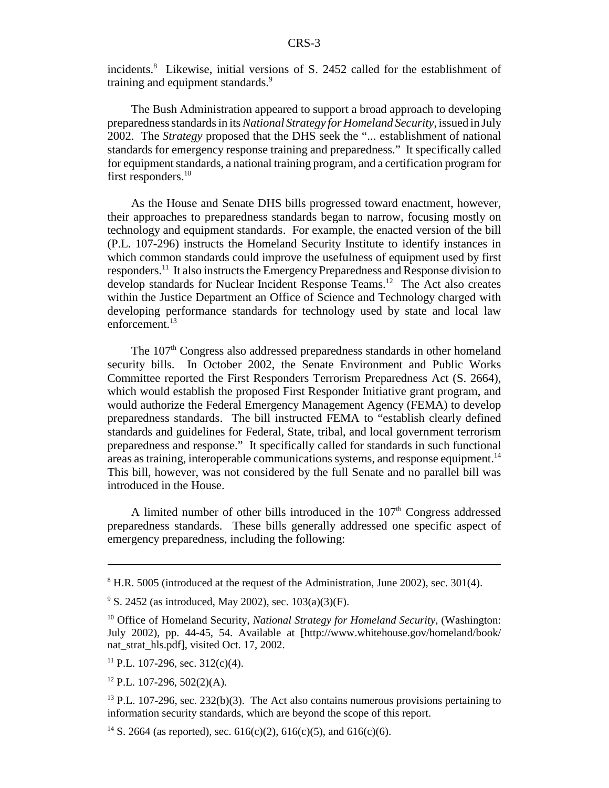incidents.8 Likewise, initial versions of S. 2452 called for the establishment of training and equipment standards.<sup>9</sup>

The Bush Administration appeared to support a broad approach to developing preparedness standards in its *National Strategy for Homeland Security*, issued in July 2002. The *Strategy* proposed that the DHS seek the "... establishment of national standards for emergency response training and preparedness." It specifically called for equipment standards, a national training program, and a certification program for first responders.<sup>10</sup>

As the House and Senate DHS bills progressed toward enactment, however, their approaches to preparedness standards began to narrow, focusing mostly on technology and equipment standards. For example, the enacted version of the bill (P.L. 107-296) instructs the Homeland Security Institute to identify instances in which common standards could improve the usefulness of equipment used by first responders.11 It also instructs the Emergency Preparedness and Response division to develop standards for Nuclear Incident Response Teams.<sup>12</sup> The Act also creates within the Justice Department an Office of Science and Technology charged with developing performance standards for technology used by state and local law enforcement.<sup>13</sup>

The 107th Congress also addressed preparedness standards in other homeland security bills. In October 2002, the Senate Environment and Public Works Committee reported the First Responders Terrorism Preparedness Act (S. 2664), which would establish the proposed First Responder Initiative grant program, and would authorize the Federal Emergency Management Agency (FEMA) to develop preparedness standards. The bill instructed FEMA to "establish clearly defined standards and guidelines for Federal, State, tribal, and local government terrorism preparedness and response." It specifically called for standards in such functional areas as training, interoperable communications systems, and response equipment.<sup>14</sup> This bill, however, was not considered by the full Senate and no parallel bill was introduced in the House.

A limited number of other bills introduced in the  $107<sup>th</sup>$  Congress addressed preparedness standards. These bills generally addressed one specific aspect of emergency preparedness, including the following:

 $8$  H.R. 5005 (introduced at the request of the Administration, June 2002), sec. 301(4).

 $9^9$  S. 2452 (as introduced, May 2002), sec. 103(a)(3)(F).

<sup>&</sup>lt;sup>10</sup> Office of Homeland Security, *National Strategy for Homeland Security*, (Washington: July 2002), pp. 44-45, 54. Available at [http://www.whitehouse.gov/homeland/book/ nat\_strat\_hls.pdf], visited Oct. 17, 2002.

<sup>&</sup>lt;sup>11</sup> P.L. 107-296, sec. 312(c)(4).

 $12$  P.L. 107-296, 502(2)(A).

 $13$  P.L. 107-296, sec. 232(b)(3). The Act also contains numerous provisions pertaining to information security standards, which are beyond the scope of this report.

<sup>&</sup>lt;sup>14</sup> S. 2664 (as reported), sec. 616(c)(2), 616(c)(5), and 616(c)(6).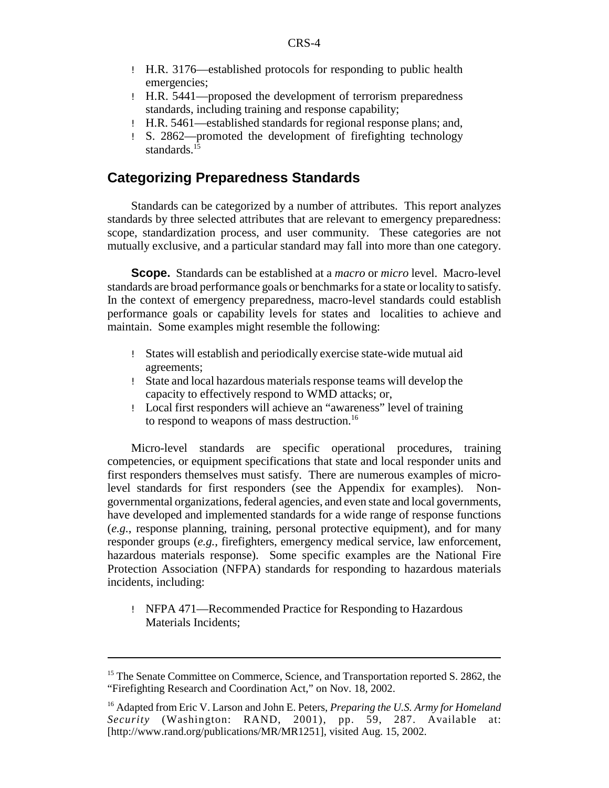- ! H.R. 3176—established protocols for responding to public health emergencies;
- ! H.R. 5441—proposed the development of terrorism preparedness standards, including training and response capability;
- ! H.R. 5461—established standards for regional response plans; and,
- ! S. 2862—promoted the development of firefighting technology standards.<sup>15</sup>

## **Categorizing Preparedness Standards**

Standards can be categorized by a number of attributes. This report analyzes standards by three selected attributes that are relevant to emergency preparedness: scope, standardization process, and user community. These categories are not mutually exclusive, and a particular standard may fall into more than one category.

**Scope.** Standards can be established at a *macro* or *micro* level. Macro-level standards are broad performance goals or benchmarks for a state or locality to satisfy. In the context of emergency preparedness, macro-level standards could establish performance goals or capability levels for states and localities to achieve and maintain. Some examples might resemble the following:

- ! States will establish and periodically exercise state-wide mutual aid agreements;
- ! State and local hazardous materials response teams will develop the capacity to effectively respond to WMD attacks; or,
- ! Local first responders will achieve an "awareness" level of training to respond to weapons of mass destruction.<sup>16</sup>

Micro-level standards are specific operational procedures, training competencies, or equipment specifications that state and local responder units and first responders themselves must satisfy. There are numerous examples of microlevel standards for first responders (see the Appendix for examples). Nongovernmental organizations, federal agencies, and even state and local governments, have developed and implemented standards for a wide range of response functions (*e.g.*, response planning, training, personal protective equipment), and for many responder groups (*e.g.*, firefighters, emergency medical service, law enforcement, hazardous materials response). Some specific examples are the National Fire Protection Association (NFPA) standards for responding to hazardous materials incidents, including:

! NFPA 471—Recommended Practice for Responding to Hazardous Materials Incidents;

<sup>&</sup>lt;sup>15</sup> The Senate Committee on Commerce, Science, and Transportation reported S. 2862, the "Firefighting Research and Coordination Act," on Nov. 18, 2002.

<sup>16</sup> Adapted from Eric V. Larson and John E. Peters, *Preparing the U.S. Army for Homeland Security* (Washington: RAND, 2001), pp. 59, 287. Available at: [http://www.rand.org/publications/MR/MR1251], visited Aug. 15, 2002.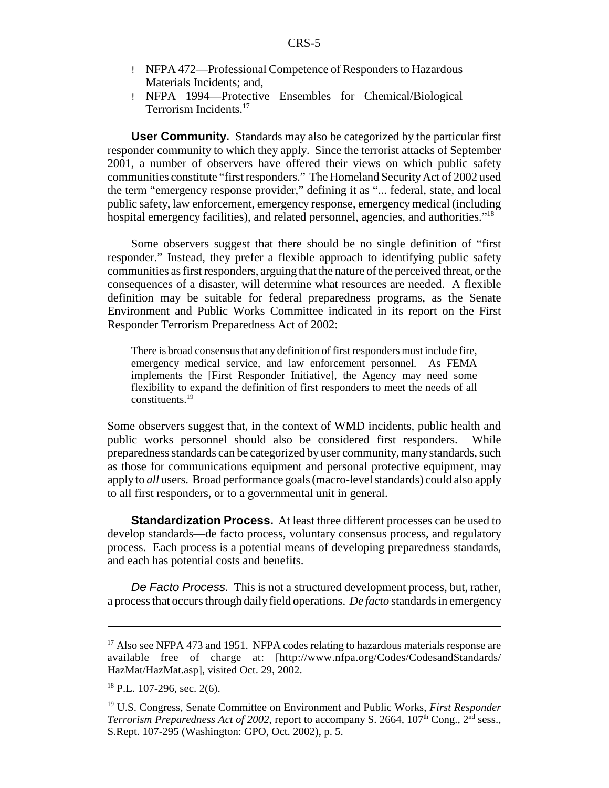- ! NFPA 472—Professional Competence of Responders to Hazardous Materials Incidents; and,
- ! NFPA 1994—Protective Ensembles for Chemical/Biological Terrorism Incidents.17

**User Community.** Standards may also be categorized by the particular first responder community to which they apply. Since the terrorist attacks of September 2001, a number of observers have offered their views on which public safety communities constitute "first responders." The Homeland Security Act of 2002 used the term "emergency response provider," defining it as "... federal, state, and local public safety, law enforcement, emergency response, emergency medical (including hospital emergency facilities), and related personnel, agencies, and authorities.<sup>"18</sup>

Some observers suggest that there should be no single definition of "first responder." Instead, they prefer a flexible approach to identifying public safety communities as first responders, arguing that the nature of the perceived threat, or the consequences of a disaster, will determine what resources are needed. A flexible definition may be suitable for federal preparedness programs, as the Senate Environment and Public Works Committee indicated in its report on the First Responder Terrorism Preparedness Act of 2002:

There is broad consensus that any definition of first responders must include fire, emergency medical service, and law enforcement personnel. As FEMA implements the [First Responder Initiative], the Agency may need some flexibility to expand the definition of first responders to meet the needs of all constituents.19

Some observers suggest that, in the context of WMD incidents, public health and public works personnel should also be considered first responders. While preparedness standards can be categorized by user community, many standards, such as those for communications equipment and personal protective equipment, may apply to *all* users. Broad performance goals (macro-level standards) could also apply to all first responders, or to a governmental unit in general.

**Standardization Process.** At least three different processes can be used to develop standards—de facto process, voluntary consensus process, and regulatory process. Each process is a potential means of developing preparedness standards, and each has potential costs and benefits.

De Facto Process. This is not a structured development process, but, rather, a process that occurs through daily field operations. *De facto* standards in emergency

 $17$  Also see NFPA 473 and 1951. NFPA codes relating to hazardous materials response are available free of charge at: [http://www.nfpa.org/Codes/CodesandStandards/ HazMat/HazMat.asp], visited Oct. 29, 2002.

<sup>&</sup>lt;sup>18</sup> P.L. 107-296, sec. 2(6).

<sup>19</sup> U.S. Congress, Senate Committee on Environment and Public Works, *First Responder Terrorism Preparedness Act of 2002*, report to accompany S. 2664,  $107<sup>th</sup>$  Cong.,  $2<sup>nd</sup>$  sess., S.Rept. 107-295 (Washington: GPO, Oct. 2002), p. 5.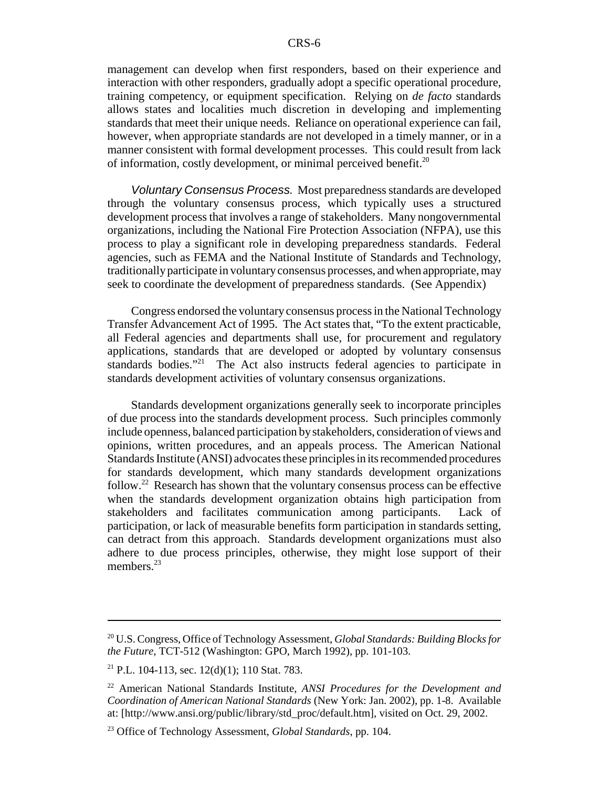management can develop when first responders, based on their experience and interaction with other responders, gradually adopt a specific operational procedure, training competency, or equipment specification. Relying on *de facto* standards allows states and localities much discretion in developing and implementing standards that meet their unique needs. Reliance on operational experience can fail, however, when appropriate standards are not developed in a timely manner, or in a manner consistent with formal development processes. This could result from lack of information, costly development, or minimal perceived benefit.<sup>20</sup>

Voluntary Consensus Process. Most preparedness standards are developed through the voluntary consensus process, which typically uses a structured development process that involves a range of stakeholders. Many nongovernmental organizations, including the National Fire Protection Association (NFPA), use this process to play a significant role in developing preparedness standards. Federal agencies, such as FEMA and the National Institute of Standards and Technology, traditionally participate in voluntary consensus processes, and when appropriate, may seek to coordinate the development of preparedness standards. (See Appendix)

Congress endorsed the voluntary consensus process in the National Technology Transfer Advancement Act of 1995. The Act states that, "To the extent practicable, all Federal agencies and departments shall use, for procurement and regulatory applications, standards that are developed or adopted by voluntary consensus standards bodies."<sup>21</sup> The Act also instructs federal agencies to participate in standards development activities of voluntary consensus organizations.

Standards development organizations generally seek to incorporate principles of due process into the standards development process. Such principles commonly include openness, balanced participation by stakeholders, consideration of views and opinions, written procedures, and an appeals process. The American National Standards Institute (ANSI) advocates these principles in its recommended procedures for standards development, which many standards development organizations follow.<sup>22</sup> Research has shown that the voluntary consensus process can be effective when the standards development organization obtains high participation from stakeholders and facilitates communication among participants. Lack of participation, or lack of measurable benefits form participation in standards setting, can detract from this approach. Standards development organizations must also adhere to due process principles, otherwise, they might lose support of their members<sup>23</sup>

<sup>20</sup> U.S. Congress, Office of Technology Assessment, *Global Standards: Building Blocks for the Future*, TCT-512 (Washington: GPO, March 1992), pp. 101-103.

<sup>&</sup>lt;sup>21</sup> P.L. 104-113, sec. 12(d)(1); 110 Stat. 783.

<sup>22</sup> American National Standards Institute, *ANSI Procedures for the Development and Coordination of American National Standards* (New York: Jan. 2002), pp. 1-8. Available at: [http://www.ansi.org/public/library/std\_proc/default.htm], visited on Oct. 29, 2002.

<sup>23</sup> Office of Technology Assessment, *Global Standards*, pp. 104.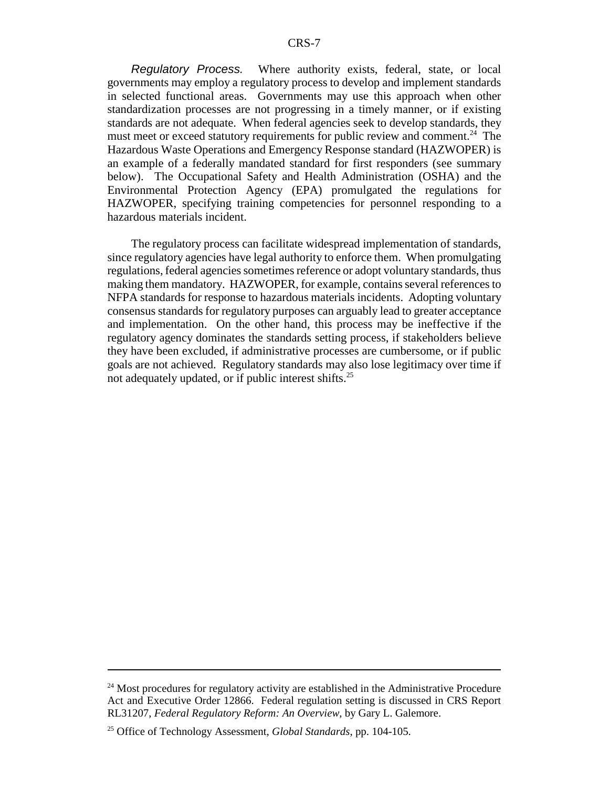Regulatory Process. Where authority exists, federal, state, or local governments may employ a regulatory process to develop and implement standards in selected functional areas. Governments may use this approach when other standardization processes are not progressing in a timely manner, or if existing standards are not adequate. When federal agencies seek to develop standards, they must meet or exceed statutory requirements for public review and comment.<sup>24</sup> The Hazardous Waste Operations and Emergency Response standard (HAZWOPER) is an example of a federally mandated standard for first responders (see summary below). The Occupational Safety and Health Administration (OSHA) and the Environmental Protection Agency (EPA) promulgated the regulations for HAZWOPER, specifying training competencies for personnel responding to a hazardous materials incident.

The regulatory process can facilitate widespread implementation of standards, since regulatory agencies have legal authority to enforce them. When promulgating regulations, federal agencies sometimes reference or adopt voluntary standards, thus making them mandatory. HAZWOPER, for example, contains several references to NFPA standards for response to hazardous materials incidents. Adopting voluntary consensus standards for regulatory purposes can arguably lead to greater acceptance and implementation. On the other hand, this process may be ineffective if the regulatory agency dominates the standards setting process, if stakeholders believe they have been excluded, if administrative processes are cumbersome, or if public goals are not achieved. Regulatory standards may also lose legitimacy over time if not adequately updated, or if public interest shifts.<sup>25</sup>

<sup>&</sup>lt;sup>24</sup> Most procedures for regulatory activity are established in the Administrative Procedure Act and Executive Order 12866. Federal regulation setting is discussed in CRS Report RL31207, *Federal Regulatory Reform: An Overview*, by Gary L. Galemore.

<sup>25</sup> Office of Technology Assessment, *Global Standards*, pp. 104-105.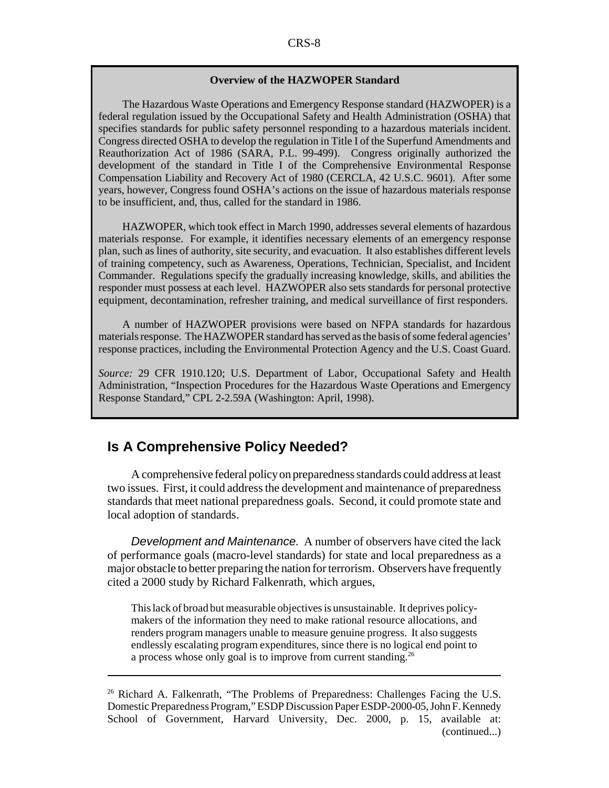#### **Overview of the HAZWOPER Standard**

The Hazardous Waste Operations and Emergency Response standard (HAZWOPER) is a federal regulation issued by the Occupational Safety and Health Administration (OSHA) that specifies standards for public safety personnel responding to a hazardous materials incident. Congress directed OSHA to develop the regulation in Title I of the Superfund Amendments and Reauthorization Act of 1986 (SARA, P.L. 99-499). Congress originally authorized the development of the standard in Title I of the Comprehensive Environmental Response Compensation Liability and Recovery Act of 1980 (CERCLA, 42 U.S.C. 9601). After some years, however, Congress found OSHA's actions on the issue of hazardous materials response to be insufficient, and, thus, called for the standard in 1986.

HAZWOPER, which took effect in March 1990, addresses several elements of hazardous materials response. For example, it identifies necessary elements of an emergency response plan, such as lines of authority, site security, and evacuation. It also establishes different levels of training competency, such as Awareness, Operations, Technician, Specialist, and Incident Commander. Regulations specify the gradually increasing knowledge, skills, and abilities the responder must possess at each level. HAZWOPER also sets standards for personal protective equipment, decontamination, refresher training, and medical surveillance of first responders.

A number of HAZWOPER provisions were based on NFPA standards for hazardous materials response. The HAZWOPER standard has served as the basis of some federal agencies' response practices, including the Environmental Protection Agency and the U.S. Coast Guard.

*Source:* 29 CFR 1910.120; U.S. Department of Labor, Occupational Safety and Health Administration, "Inspection Procedures for the Hazardous Waste Operations and Emergency Response Standard," CPL 2-2.59A (Washington: April, 1998).

### **Is A Comprehensive Policy Needed?**

A comprehensive federal policy on preparedness standards could address at least two issues. First, it could address the development and maintenance of preparedness standards that meet national preparedness goals. Second, it could promote state and local adoption of standards.

Development and Maintenance. A number of observers have cited the lack of performance goals (macro-level standards) for state and local preparedness as a major obstacle to better preparing the nation for terrorism. Observers have frequently cited a 2000 study by Richard Falkenrath, which argues,

This lack of broad but measurable objectives is unsustainable. It deprives policymakers of the information they need to make rational resource allocations, and renders program managers unable to measure genuine progress. It also suggests endlessly escalating program expenditures, since there is no logical end point to a process whose only goal is to improve from current standing.<sup>26</sup>

<sup>&</sup>lt;sup>26</sup> Richard A. Falkenrath, "The Problems of Preparedness: Challenges Facing the U.S. Domestic Preparedness Program," ESDP Discussion Paper ESDP-2000-05, John F. Kennedy School of Government, Harvard University, Dec. 2000, p. 15, available at: (continued...)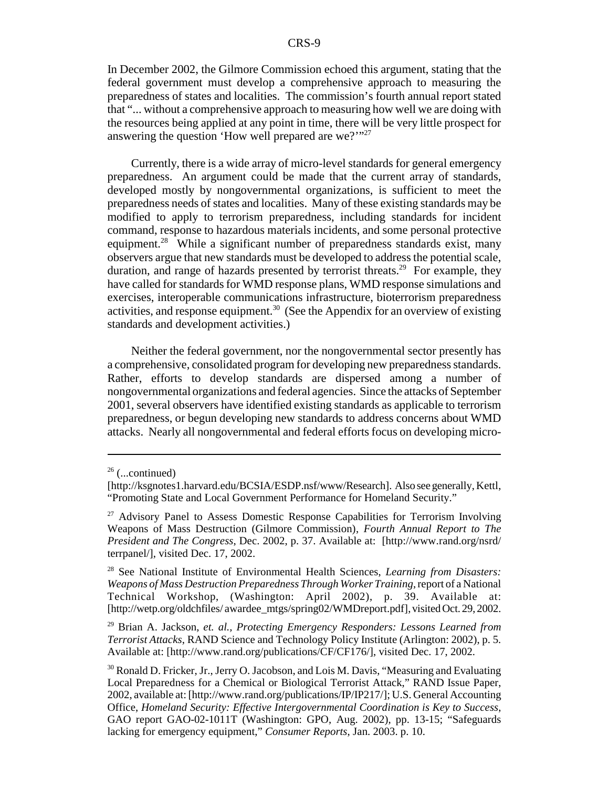In December 2002, the Gilmore Commission echoed this argument, stating that the federal government must develop a comprehensive approach to measuring the preparedness of states and localities. The commission's fourth annual report stated that "... without a comprehensive approach to measuring how well we are doing with the resources being applied at any point in time, there will be very little prospect for answering the question 'How well prepared are we?'"<sup>27</sup>

Currently, there is a wide array of micro-level standards for general emergency preparedness. An argument could be made that the current array of standards, developed mostly by nongovernmental organizations, is sufficient to meet the preparedness needs of states and localities. Many of these existing standards may be modified to apply to terrorism preparedness, including standards for incident command, response to hazardous materials incidents, and some personal protective equipment.<sup>28</sup> While a significant number of preparedness standards exist, many observers argue that new standards must be developed to address the potential scale, duration, and range of hazards presented by terrorist threats.<sup>29</sup> For example, they have called for standards for WMD response plans, WMD response simulations and exercises, interoperable communications infrastructure, bioterrorism preparedness activities, and response equipment.<sup>30</sup> (See the Appendix for an overview of existing standards and development activities.)

Neither the federal government, nor the nongovernmental sector presently has a comprehensive, consolidated program for developing new preparedness standards. Rather, efforts to develop standards are dispersed among a number of nongovernmental organizations and federal agencies. Since the attacks of September 2001, several observers have identified existing standards as applicable to terrorism preparedness, or begun developing new standards to address concerns about WMD attacks. Nearly all nongovernmental and federal efforts focus on developing micro-

 $26$  (...continued)

<sup>[</sup>http://ksgnotes1.harvard.edu/BCSIA/ESDP.nsf/www/Research]. Also see generally, Kettl, "Promoting State and Local Government Performance for Homeland Security."

 $27$  Advisory Panel to Assess Domestic Response Capabilities for Terrorism Involving Weapons of Mass Destruction (Gilmore Commission), *Fourth Annual Report to The President and The Congress*, Dec. 2002, p. 37. Available at: [http://www.rand.org/nsrd/ terrpanel/], visited Dec. 17, 2002.

<sup>28</sup> See National Institute of Environmental Health Sciences, *Learning from Disasters: Weapons of Mass Destruction Preparedness Through Worker Training*, report of a National Technical Workshop, (Washington: April 2002), p. 39. Available at: [http://wetp.org/oldchfiles/ awardee\_mtgs/spring02/WMDreport.pdf], visited Oct. 29, 2002.

<sup>29</sup> Brian A. Jackson, *et. al., Protecting Emergency Responders: Lessons Learned from Terrorist Attacks*, RAND Science and Technology Policy Institute (Arlington: 2002), p. 5. Available at: [http://www.rand.org/publications/CF/CF176/], visited Dec. 17, 2002.

<sup>&</sup>lt;sup>30</sup> Ronald D. Fricker, Jr., Jerry O. Jacobson, and Lois M. Davis, "Measuring and Evaluating" Local Preparedness for a Chemical or Biological Terrorist Attack," RAND Issue Paper, 2002, available at: [http://www.rand.org/publications/IP/IP217/]; U.S. General Accounting Office, *Homeland Security: Effective Intergovernmental Coordination is Key to Success*, GAO report GAO-02-1011T (Washington: GPO, Aug. 2002), pp. 13-15; "Safeguards lacking for emergency equipment," *Consumer Reports*, Jan. 2003. p. 10.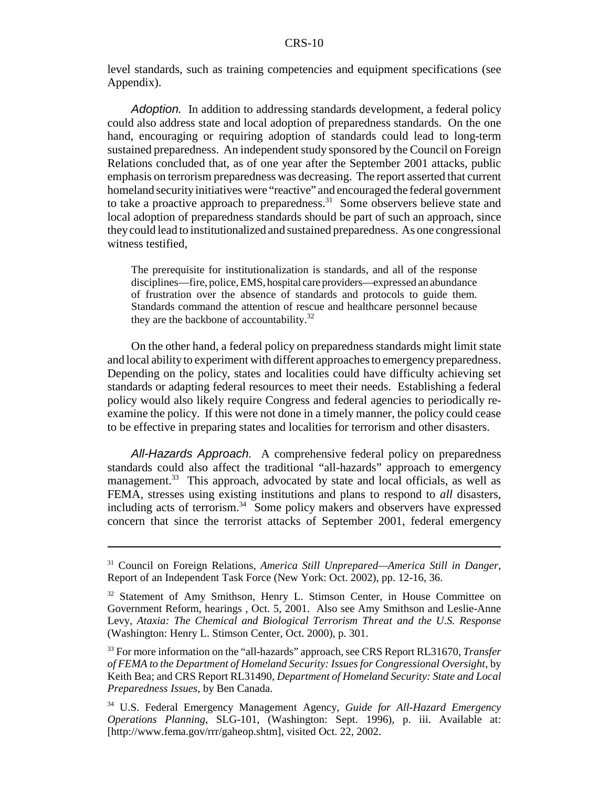level standards, such as training competencies and equipment specifications (see Appendix).

Adoption. In addition to addressing standards development, a federal policy could also address state and local adoption of preparedness standards. On the one hand, encouraging or requiring adoption of standards could lead to long-term sustained preparedness. An independent study sponsored by the Council on Foreign Relations concluded that, as of one year after the September 2001 attacks, public emphasis on terrorism preparedness was decreasing. The report asserted that current homeland security initiatives were "reactive" and encouraged the federal government to take a proactive approach to preparedness.<sup>31</sup> Some observers believe state and local adoption of preparedness standards should be part of such an approach, since they could lead to institutionalized and sustained preparedness. As one congressional witness testified,

The prerequisite for institutionalization is standards, and all of the response disciplines—fire, police, EMS, hospital care providers—expressed an abundance of frustration over the absence of standards and protocols to guide them. Standards command the attention of rescue and healthcare personnel because they are the backbone of accountability. $32$ 

On the other hand, a federal policy on preparedness standards might limit state and local ability to experiment with different approaches to emergency preparedness. Depending on the policy, states and localities could have difficulty achieving set standards or adapting federal resources to meet their needs. Establishing a federal policy would also likely require Congress and federal agencies to periodically reexamine the policy. If this were not done in a timely manner, the policy could cease to be effective in preparing states and localities for terrorism and other disasters.

All-Hazards Approach. A comprehensive federal policy on preparedness standards could also affect the traditional "all-hazards" approach to emergency management.<sup>33</sup> This approach, advocated by state and local officials, as well as FEMA, stresses using existing institutions and plans to respond to *all* disasters, including acts of terrorism. $34$  Some policy makers and observers have expressed concern that since the terrorist attacks of September 2001, federal emergency

<sup>31</sup> Council on Foreign Relations, *America Still Unprepared—America Still in Danger*, Report of an Independent Task Force (New York: Oct. 2002), pp. 12-16, 36.

<sup>&</sup>lt;sup>32</sup> Statement of Amy Smithson, Henry L. Stimson Center, in House Committee on Government Reform, hearings , Oct. 5, 2001. Also see Amy Smithson and Leslie-Anne Levy, *Ataxia: The Chemical and Biological Terrorism Threat and the U.S. Response* (Washington: Henry L. Stimson Center, Oct. 2000), p. 301.

<sup>33</sup> For more information on the "all-hazards" approach, see CRS Report RL31670, *Transfer of FEMA to the Department of Homeland Security: Issues for Congressional Oversight*, by Keith Bea; and CRS Report RL31490, *Department of Homeland Security: State and Local Preparedness Issues*, by Ben Canada.

<sup>34</sup> U.S. Federal Emergency Management Agency, *Guide for All-Hazard Emergency Operations Planning*, SLG-101, (Washington: Sept. 1996), p. iii. Available at: [http://www.fema.gov/rrr/gaheop.shtm], visited Oct. 22, 2002.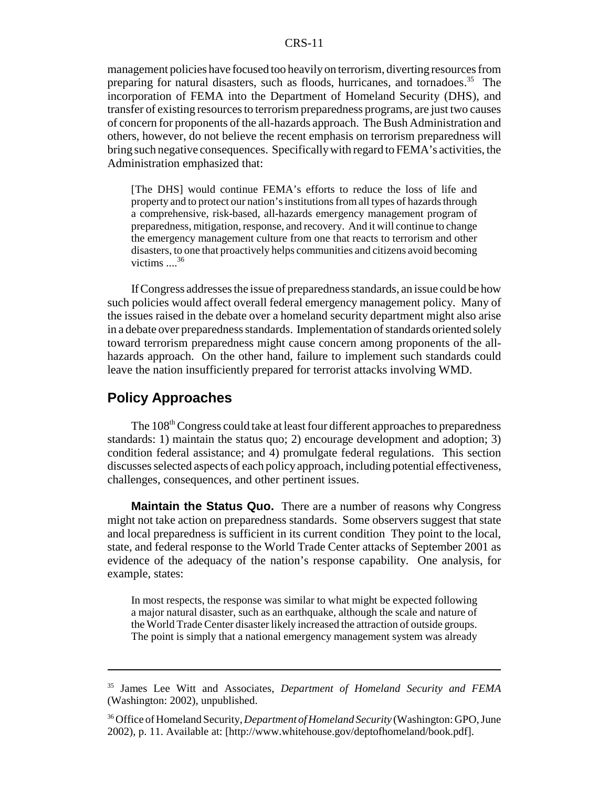management policies have focused too heavily on terrorism, diverting resources from preparing for natural disasters, such as floods, hurricanes, and tornadoes.<sup>35</sup> The incorporation of FEMA into the Department of Homeland Security (DHS), and transfer of existing resources to terrorism preparedness programs, are just two causes of concern for proponents of the all-hazards approach. The Bush Administration and others, however, do not believe the recent emphasis on terrorism preparedness will bring such negative consequences. Specifically with regard to FEMA's activities, the Administration emphasized that:

[The DHS] would continue FEMA's efforts to reduce the loss of life and property and to protect our nation's institutions from all types of hazards through a comprehensive, risk-based, all-hazards emergency management program of preparedness, mitigation, response, and recovery. And it will continue to change the emergency management culture from one that reacts to terrorism and other disasters, to one that proactively helps communities and citizens avoid becoming victims  $\ldots^{36}$ 

If Congress addresses the issue of preparedness standards, an issue could be how such policies would affect overall federal emergency management policy. Many of the issues raised in the debate over a homeland security department might also arise in a debate over preparedness standards. Implementation of standards oriented solely toward terrorism preparedness might cause concern among proponents of the allhazards approach. On the other hand, failure to implement such standards could leave the nation insufficiently prepared for terrorist attacks involving WMD.

## **Policy Approaches**

The 108<sup>th</sup> Congress could take at least four different approaches to preparedness standards: 1) maintain the status quo; 2) encourage development and adoption; 3) condition federal assistance; and 4) promulgate federal regulations. This section discusses selected aspects of each policy approach, including potential effectiveness, challenges, consequences, and other pertinent issues.

**Maintain the Status Quo.** There are a number of reasons why Congress might not take action on preparedness standards. Some observers suggest that state and local preparedness is sufficient in its current condition They point to the local, state, and federal response to the World Trade Center attacks of September 2001 as evidence of the adequacy of the nation's response capability. One analysis, for example, states:

In most respects, the response was similar to what might be expected following a major natural disaster, such as an earthquake, although the scale and nature of the World Trade Center disaster likely increased the attraction of outside groups. The point is simply that a national emergency management system was already

<sup>35</sup> James Lee Witt and Associates, *Department of Homeland Security and FEMA* (Washington: 2002), unpublished.

<sup>36</sup> Office of Homeland Security, *Department of Homeland Security* (Washington: GPO, June 2002), p. 11. Available at: [http://www.whitehouse.gov/deptofhomeland/book.pdf].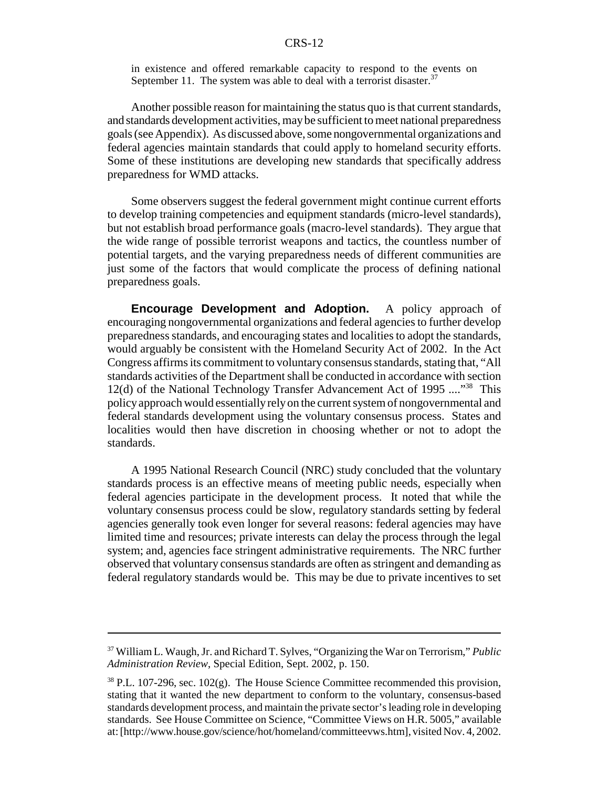in existence and offered remarkable capacity to respond to the events on September 11. The system was able to deal with a terrorist disaster.<sup>37</sup>

Another possible reason for maintaining the status quo is that current standards, and standards development activities, may be sufficient to meet national preparedness goals (see Appendix). As discussed above, some nongovernmental organizations and federal agencies maintain standards that could apply to homeland security efforts. Some of these institutions are developing new standards that specifically address preparedness for WMD attacks.

Some observers suggest the federal government might continue current efforts to develop training competencies and equipment standards (micro-level standards), but not establish broad performance goals (macro-level standards). They argue that the wide range of possible terrorist weapons and tactics, the countless number of potential targets, and the varying preparedness needs of different communities are just some of the factors that would complicate the process of defining national preparedness goals.

**Encourage Development and Adoption.** A policy approach of encouraging nongovernmental organizations and federal agencies to further develop preparedness standards, and encouraging states and localities to adopt the standards, would arguably be consistent with the Homeland Security Act of 2002. In the Act Congress affirms its commitment to voluntary consensus standards, stating that, "All standards activities of the Department shall be conducted in accordance with section 12(d) of the National Technology Transfer Advancement Act of 1995 ...."<sup>38</sup> This policy approach would essentially rely on the current system of nongovernmental and federal standards development using the voluntary consensus process. States and localities would then have discretion in choosing whether or not to adopt the standards.

A 1995 National Research Council (NRC) study concluded that the voluntary standards process is an effective means of meeting public needs, especially when federal agencies participate in the development process. It noted that while the voluntary consensus process could be slow, regulatory standards setting by federal agencies generally took even longer for several reasons: federal agencies may have limited time and resources; private interests can delay the process through the legal system; and, agencies face stringent administrative requirements. The NRC further observed that voluntary consensus standards are often as stringent and demanding as federal regulatory standards would be. This may be due to private incentives to set

<sup>37</sup> William L. Waugh, Jr. and Richard T. Sylves, "Organizing the War on Terrorism," *Public Administration Review*, Special Edition, Sept. 2002, p. 150.

 $38$  P.L. 107-296, sec. 102(g). The House Science Committee recommended this provision, stating that it wanted the new department to conform to the voluntary, consensus-based standards development process, and maintain the private sector's leading role in developing standards. See House Committee on Science, "Committee Views on H.R. 5005," available at: [http://www.house.gov/science/hot/homeland/committeevws.htm], visited Nov. 4, 2002.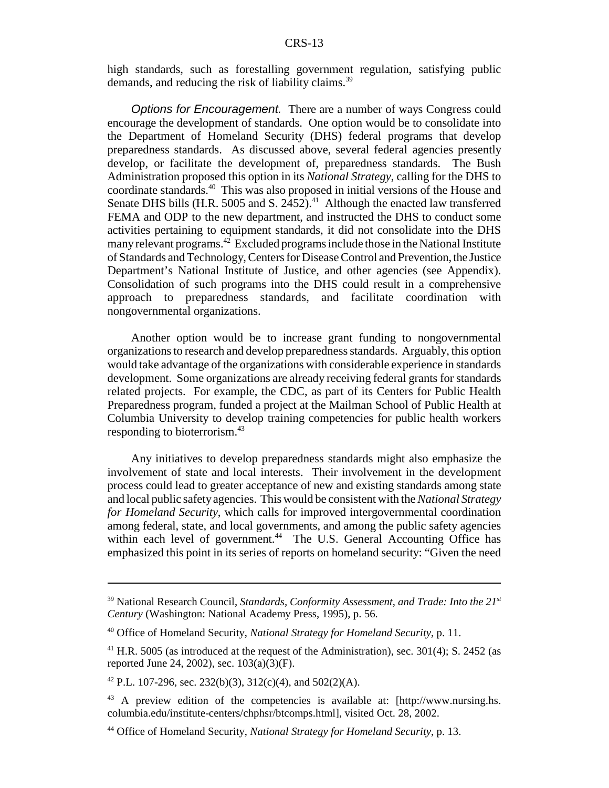high standards, such as forestalling government regulation, satisfying public demands, and reducing the risk of liability claims.<sup>39</sup>

Options for Encouragement. There are a number of ways Congress could encourage the development of standards. One option would be to consolidate into the Department of Homeland Security (DHS) federal programs that develop preparedness standards. As discussed above, several federal agencies presently develop, or facilitate the development of, preparedness standards. The Bush Administration proposed this option in its *National Strategy*, calling for the DHS to coordinate standards.40 This was also proposed in initial versions of the House and Senate DHS bills (H.R. 5005 and S. 2452).<sup>41</sup> Although the enacted law transferred FEMA and ODP to the new department, and instructed the DHS to conduct some activities pertaining to equipment standards, it did not consolidate into the DHS many relevant programs.<sup>42</sup> Excluded programs include those in the National Institute of Standards and Technology, Centers for Disease Control and Prevention, the Justice Department's National Institute of Justice, and other agencies (see Appendix). Consolidation of such programs into the DHS could result in a comprehensive approach to preparedness standards, and facilitate coordination with nongovernmental organizations.

Another option would be to increase grant funding to nongovernmental organizations to research and develop preparedness standards. Arguably, this option would take advantage of the organizations with considerable experience in standards development. Some organizations are already receiving federal grants for standards related projects. For example, the CDC, as part of its Centers for Public Health Preparedness program, funded a project at the Mailman School of Public Health at Columbia University to develop training competencies for public health workers responding to bioterrorism.43

Any initiatives to develop preparedness standards might also emphasize the involvement of state and local interests. Their involvement in the development process could lead to greater acceptance of new and existing standards among state and local public safety agencies. This would be consistent with the *National Strategy for Homeland Security*, which calls for improved intergovernmental coordination among federal, state, and local governments, and among the public safety agencies within each level of government.<sup>44</sup> The U.S. General Accounting Office has emphasized this point in its series of reports on homeland security: "Given the need

<sup>&</sup>lt;sup>39</sup> National Research Council, *Standards, Conformity Assessment, and Trade: Into the 21<sup>st</sup> Century* (Washington: National Academy Press, 1995), p. 56.

<sup>40</sup> Office of Homeland Security, *National Strategy for Homeland Security*, p. 11.

 $41$  H.R. 5005 (as introduced at the request of the Administration), sec. 301(4); S. 2452 (as reported June 24, 2002), sec. 103(a)(3)(F).

<sup>&</sup>lt;sup>42</sup> P.L. 107-296, sec. 232(b)(3), 312(c)(4), and 502(2)(A).

<sup>43</sup> A preview edition of the competencies is available at: [http://www.nursing.hs. columbia.edu/institute-centers/chphsr/btcomps.html], visited Oct. 28, 2002.

<sup>44</sup> Office of Homeland Security, *National Strategy for Homeland Security*, p. 13.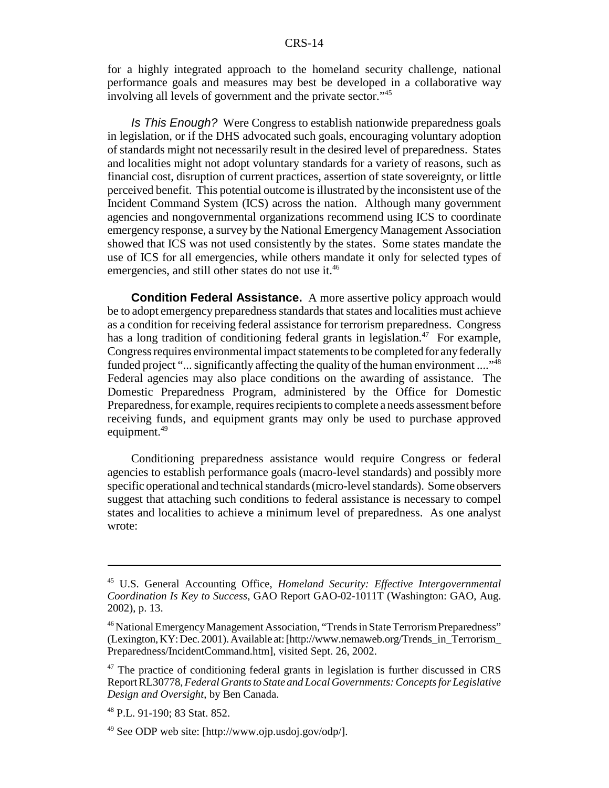for a highly integrated approach to the homeland security challenge, national performance goals and measures may best be developed in a collaborative way involving all levels of government and the private sector."45

Is This Enough? Were Congress to establish nationwide preparedness goals in legislation, or if the DHS advocated such goals, encouraging voluntary adoption of standards might not necessarily result in the desired level of preparedness. States and localities might not adopt voluntary standards for a variety of reasons, such as financial cost, disruption of current practices, assertion of state sovereignty, or little perceived benefit. This potential outcome is illustrated by the inconsistent use of the Incident Command System (ICS) across the nation. Although many government agencies and nongovernmental organizations recommend using ICS to coordinate emergency response, a survey by the National Emergency Management Association showed that ICS was not used consistently by the states. Some states mandate the use of ICS for all emergencies, while others mandate it only for selected types of emergencies, and still other states do not use it.<sup>46</sup>

**Condition Federal Assistance.** A more assertive policy approach would be to adopt emergency preparedness standards that states and localities must achieve as a condition for receiving federal assistance for terrorism preparedness. Congress has a long tradition of conditioning federal grants in legislation.<sup>47</sup> For example, Congress requires environmental impact statements to be completed for any federally funded project "... significantly affecting the quality of the human environment ...."<sup>48</sup> Federal agencies may also place conditions on the awarding of assistance. The Domestic Preparedness Program, administered by the Office for Domestic Preparedness, for example, requires recipients to complete a needs assessment before receiving funds, and equipment grants may only be used to purchase approved equipment.<sup>49</sup>

Conditioning preparedness assistance would require Congress or federal agencies to establish performance goals (macro-level standards) and possibly more specific operational and technical standards (micro-level standards). Some observers suggest that attaching such conditions to federal assistance is necessary to compel states and localities to achieve a minimum level of preparedness. As one analyst wrote:

<sup>45</sup> U.S. General Accounting Office, *Homeland Security: Effective Intergovernmental Coordination Is Key to Success*, GAO Report GAO-02-1011T (Washington: GAO, Aug. 2002), p. 13.

<sup>46</sup> National Emergency Management Association, "Trends in State Terrorism Preparedness" (Lexington, KY: Dec. 2001). Available at: [http://www.nemaweb.org/Trends\_in\_Terrorism\_ Preparedness/IncidentCommand.htm], visited Sept. 26, 2002.

<sup>&</sup>lt;sup>47</sup> The practice of conditioning federal grants in legislation is further discussed in CRS Report RL30778, *Federal Grants to State and Local Governments: Concepts for Legislative Design and Oversight*, by Ben Canada.

<sup>48</sup> P.L. 91-190; 83 Stat. 852.

<sup>49</sup> See ODP web site: [http://www.ojp.usdoj.gov/odp/].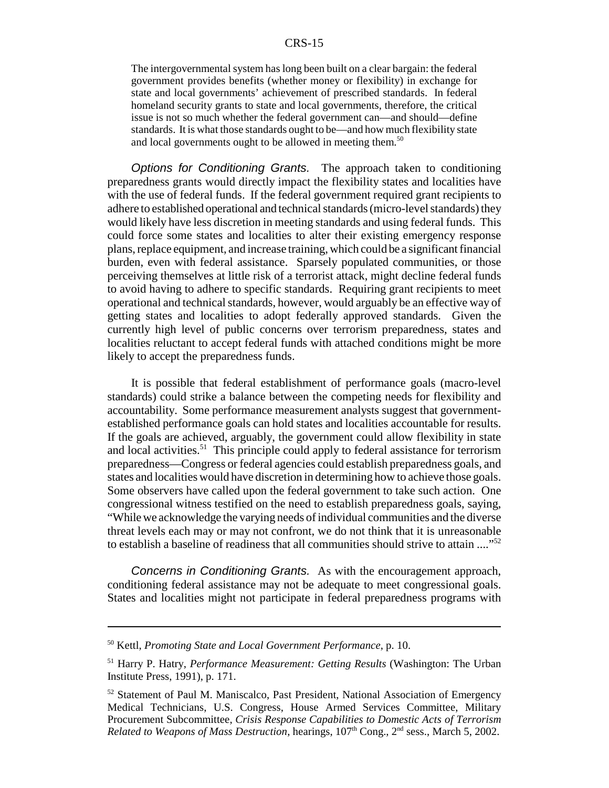The intergovernmental system has long been built on a clear bargain: the federal government provides benefits (whether money or flexibility) in exchange for state and local governments' achievement of prescribed standards. In federal homeland security grants to state and local governments, therefore, the critical issue is not so much whether the federal government can—and should—define standards. It is what those standards ought to be—and how much flexibility state and local governments ought to be allowed in meeting them.<sup>50</sup>

Options for Conditioning Grants. The approach taken to conditioning preparedness grants would directly impact the flexibility states and localities have with the use of federal funds. If the federal government required grant recipients to adhere to established operational and technical standards (micro-level standards) they would likely have less discretion in meeting standards and using federal funds. This could force some states and localities to alter their existing emergency response plans, replace equipment, and increase training, which could be a significant financial burden, even with federal assistance. Sparsely populated communities, or those perceiving themselves at little risk of a terrorist attack, might decline federal funds to avoid having to adhere to specific standards. Requiring grant recipients to meet operational and technical standards, however, would arguably be an effective way of getting states and localities to adopt federally approved standards. Given the currently high level of public concerns over terrorism preparedness, states and localities reluctant to accept federal funds with attached conditions might be more likely to accept the preparedness funds.

It is possible that federal establishment of performance goals (macro-level standards) could strike a balance between the competing needs for flexibility and accountability. Some performance measurement analysts suggest that governmentestablished performance goals can hold states and localities accountable for results. If the goals are achieved, arguably, the government could allow flexibility in state and local activities.<sup>51</sup> This principle could apply to federal assistance for terrorism preparedness—Congress or federal agencies could establish preparedness goals, and states and localities would have discretion in determining how to achieve those goals. Some observers have called upon the federal government to take such action. One congressional witness testified on the need to establish preparedness goals, saying, "While we acknowledge the varying needs of individual communities and the diverse threat levels each may or may not confront, we do not think that it is unreasonable to establish a baseline of readiness that all communities should strive to attain ...."<sup>52</sup>

Concerns in Conditioning Grants. As with the encouragement approach, conditioning federal assistance may not be adequate to meet congressional goals. States and localities might not participate in federal preparedness programs with

<sup>50</sup> Kettl, *Promoting State and Local Government Performance*, p. 10.

<sup>51</sup> Harry P. Hatry, *Performance Measurement: Getting Results* (Washington: The Urban Institute Press, 1991), p. 171.

<sup>52</sup> Statement of Paul M. Maniscalco, Past President, National Association of Emergency Medical Technicians, U.S. Congress, House Armed Services Committee, Military Procurement Subcommittee, *Crisis Response Capabilities to Domestic Acts of Terrorism Related to Weapons of Mass Destruction*, hearings, 107<sup>th</sup> Cong., 2<sup>nd</sup> sess., March 5, 2002.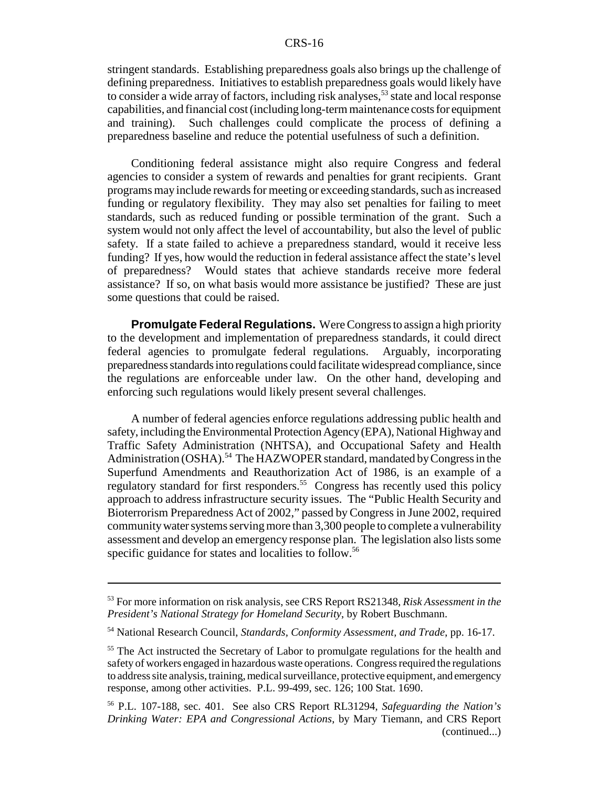stringent standards. Establishing preparedness goals also brings up the challenge of defining preparedness. Initiatives to establish preparedness goals would likely have to consider a wide array of factors, including risk analyses,  $53$  state and local response capabilities, and financial cost (including long-term maintenance costs for equipment and training). Such challenges could complicate the process of defining a preparedness baseline and reduce the potential usefulness of such a definition.

Conditioning federal assistance might also require Congress and federal agencies to consider a system of rewards and penalties for grant recipients. Grant programs may include rewards for meeting or exceeding standards, such as increased funding or regulatory flexibility. They may also set penalties for failing to meet standards, such as reduced funding or possible termination of the grant. Such a system would not only affect the level of accountability, but also the level of public safety. If a state failed to achieve a preparedness standard, would it receive less funding? If yes, how would the reduction in federal assistance affect the state's level of preparedness? Would states that achieve standards receive more federal assistance? If so, on what basis would more assistance be justified? These are just some questions that could be raised.

**Promulgate Federal Regulations.** Were Congress to assign a high priority to the development and implementation of preparedness standards, it could direct federal agencies to promulgate federal regulations. Arguably, incorporating preparedness standards into regulations could facilitate widespread compliance, since the regulations are enforceable under law. On the other hand, developing and enforcing such regulations would likely present several challenges.

A number of federal agencies enforce regulations addressing public health and safety, including the Environmental Protection Agency (EPA), National Highway and Traffic Safety Administration (NHTSA), and Occupational Safety and Health Administration (OSHA).<sup>54</sup> The HAZWOPER standard, mandated by Congress in the Superfund Amendments and Reauthorization Act of 1986, is an example of a regulatory standard for first responders.<sup>55</sup> Congress has recently used this policy approach to address infrastructure security issues. The "Public Health Security and Bioterrorism Preparedness Act of 2002," passed by Congress in June 2002, required community water systems serving more than 3,300 people to complete a vulnerability assessment and develop an emergency response plan. The legislation also lists some specific guidance for states and localities to follow.<sup>56</sup>

<sup>53</sup> For more information on risk analysis, see CRS Report RS21348, *Risk Assessment in the President's National Strategy for Homeland Security*, by Robert Buschmann.

<sup>54</sup> National Research Council, *Standards, Conformity Assessment, and Trade*, pp. 16-17.

<sup>&</sup>lt;sup>55</sup> The Act instructed the Secretary of Labor to promulgate regulations for the health and safety of workers engaged in hazardous waste operations. Congress required the regulations to address site analysis, training, medical surveillance, protective equipment, and emergency response, among other activities. P.L. 99-499, sec. 126; 100 Stat. 1690.

<sup>56</sup> P.L. 107-188, sec. 401. See also CRS Report RL31294, *Safeguarding the Nation's Drinking Water: EPA and Congressional Actions*, by Mary Tiemann, and CRS Report (continued...)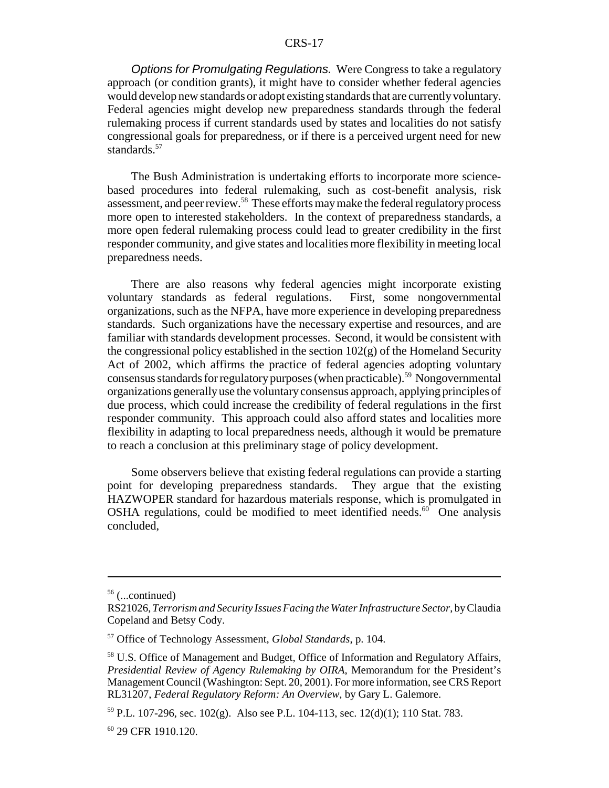Options for Promulgating Regulations. Were Congress to take a regulatory approach (or condition grants), it might have to consider whether federal agencies would develop new standards or adopt existing standards that are currently voluntary. Federal agencies might develop new preparedness standards through the federal rulemaking process if current standards used by states and localities do not satisfy congressional goals for preparedness, or if there is a perceived urgent need for new standards.<sup>57</sup>

The Bush Administration is undertaking efforts to incorporate more sciencebased procedures into federal rulemaking, such as cost-benefit analysis, risk assessment, and peer review.<sup>58</sup> These efforts may make the federal regulatory process more open to interested stakeholders. In the context of preparedness standards, a more open federal rulemaking process could lead to greater credibility in the first responder community, and give states and localities more flexibility in meeting local preparedness needs.

There are also reasons why federal agencies might incorporate existing voluntary standards as federal regulations. First, some nongovernmental organizations, such as the NFPA, have more experience in developing preparedness standards. Such organizations have the necessary expertise and resources, and are familiar with standards development processes. Second, it would be consistent with the congressional policy established in the section  $102(g)$  of the Homeland Security Act of 2002, which affirms the practice of federal agencies adopting voluntary consensus standards for regulatory purposes (when practicable).59 Nongovernmental organizations generally use the voluntary consensus approach, applying principles of due process, which could increase the credibility of federal regulations in the first responder community. This approach could also afford states and localities more flexibility in adapting to local preparedness needs, although it would be premature to reach a conclusion at this preliminary stage of policy development.

Some observers believe that existing federal regulations can provide a starting point for developing preparedness standards. They argue that the existing HAZWOPER standard for hazardous materials response, which is promulgated in OSHA regulations, could be modified to meet identified needs. $60$  One analysis concluded,

<sup>56 (...</sup>continued)

RS21026, *Terrorism and Security Issues Facing the Water Infrastructure Sector*, by Claudia Copeland and Betsy Cody.

<sup>57</sup> Office of Technology Assessment, *Global Standards*, p. 104.

<sup>58</sup> U.S. Office of Management and Budget, Office of Information and Regulatory Affairs, *Presidential Review of Agency Rulemaking by OIRA*, Memorandum for the President's Management Council (Washington: Sept. 20, 2001). For more information, see CRS Report RL31207, *Federal Regulatory Reform: An Overview*, by Gary L. Galemore.

<sup>&</sup>lt;sup>59</sup> P.L. 107-296, sec. 102(g). Also see P.L. 104-113, sec. 12(d)(1); 110 Stat. 783.

<sup>60 29</sup> CFR 1910.120.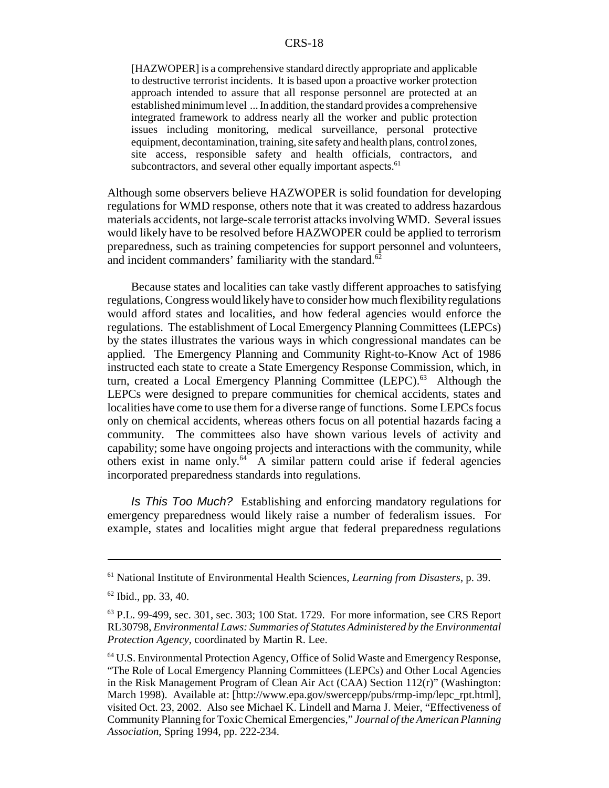[HAZWOPER] is a comprehensive standard directly appropriate and applicable to destructive terrorist incidents. It is based upon a proactive worker protection approach intended to assure that all response personnel are protected at an established minimum level ... In addition, the standard provides a comprehensive integrated framework to address nearly all the worker and public protection issues including monitoring, medical surveillance, personal protective equipment, decontamination, training, site safety and health plans, control zones, site access, responsible safety and health officials, contractors, and subcontractors, and several other equally important aspects.<sup>61</sup>

Although some observers believe HAZWOPER is solid foundation for developing regulations for WMD response, others note that it was created to address hazardous materials accidents, not large-scale terrorist attacks involving WMD. Several issues would likely have to be resolved before HAZWOPER could be applied to terrorism preparedness, such as training competencies for support personnel and volunteers, and incident commanders' familiarity with the standard. $62$ 

Because states and localities can take vastly different approaches to satisfying regulations, Congress would likely have to consider how much flexibility regulations would afford states and localities, and how federal agencies would enforce the regulations. The establishment of Local Emergency Planning Committees (LEPCs) by the states illustrates the various ways in which congressional mandates can be applied. The Emergency Planning and Community Right-to-Know Act of 1986 instructed each state to create a State Emergency Response Commission, which, in turn, created a Local Emergency Planning Committee (LEPC).<sup>63</sup> Although the LEPCs were designed to prepare communities for chemical accidents, states and localities have come to use them for a diverse range of functions. Some LEPCs focus only on chemical accidents, whereas others focus on all potential hazards facing a community. The committees also have shown various levels of activity and capability; some have ongoing projects and interactions with the community, while others exist in name only.<sup>64</sup> A similar pattern could arise if federal agencies incorporated preparedness standards into regulations.

Is This Too Much? Establishing and enforcing mandatory regulations for emergency preparedness would likely raise a number of federalism issues. For example, states and localities might argue that federal preparedness regulations

<sup>61</sup> National Institute of Environmental Health Sciences, *Learning from Disasters*, p. 39.

<sup>62</sup> Ibid., pp. 33, 40.

 $63$  P.L. 99-499, sec. 301, sec. 303; 100 Stat. 1729. For more information, see CRS Report RL30798, *Environmental Laws: Summaries of Statutes Administered by the Environmental Protection Agency*, coordinated by Martin R. Lee.

<sup>&</sup>lt;sup>64</sup> U.S. Environmental Protection Agency, Office of Solid Waste and Emergency Response, "The Role of Local Emergency Planning Committees (LEPCs) and Other Local Agencies in the Risk Management Program of Clean Air Act (CAA) Section 112(r)" (Washington: March 1998). Available at: [http://www.epa.gov/swercepp/pubs/rmp-imp/lepc\_rpt.html], visited Oct. 23, 2002. Also see Michael K. Lindell and Marna J. Meier, "Effectiveness of Community Planning for Toxic Chemical Emergencies," *Journal of the American Planning Association*, Spring 1994, pp. 222-234.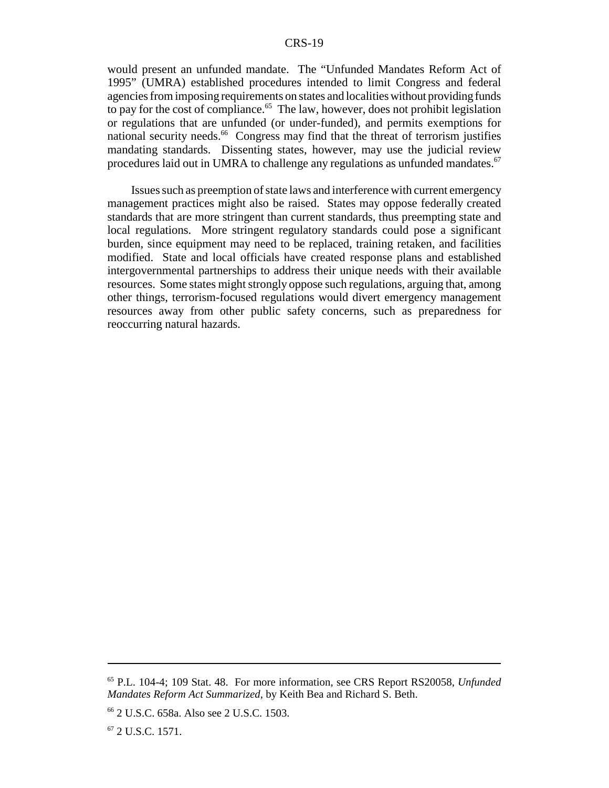would present an unfunded mandate. The "Unfunded Mandates Reform Act of 1995" (UMRA) established procedures intended to limit Congress and federal agencies from imposing requirements on states and localities without providing funds to pay for the cost of compliance.<sup>65</sup> The law, however, does not prohibit legislation or regulations that are unfunded (or under-funded), and permits exemptions for national security needs.<sup>66</sup> Congress may find that the threat of terrorism justifies mandating standards. Dissenting states, however, may use the judicial review procedures laid out in UMRA to challenge any regulations as unfunded mandates.<sup>67</sup>

Issues such as preemption of state laws and interference with current emergency management practices might also be raised. States may oppose federally created standards that are more stringent than current standards, thus preempting state and local regulations. More stringent regulatory standards could pose a significant burden, since equipment may need to be replaced, training retaken, and facilities modified. State and local officials have created response plans and established intergovernmental partnerships to address their unique needs with their available resources. Some states might strongly oppose such regulations, arguing that, among other things, terrorism-focused regulations would divert emergency management resources away from other public safety concerns, such as preparedness for reoccurring natural hazards.

<sup>65</sup> P.L. 104-4; 109 Stat. 48. For more information, see CRS Report RS20058, *Unfunded Mandates Reform Act Summarized*, by Keith Bea and Richard S. Beth.

<sup>66 2</sup> U.S.C. 658a. Also see 2 U.S.C. 1503.

<sup>67 2</sup> U.S.C. 1571.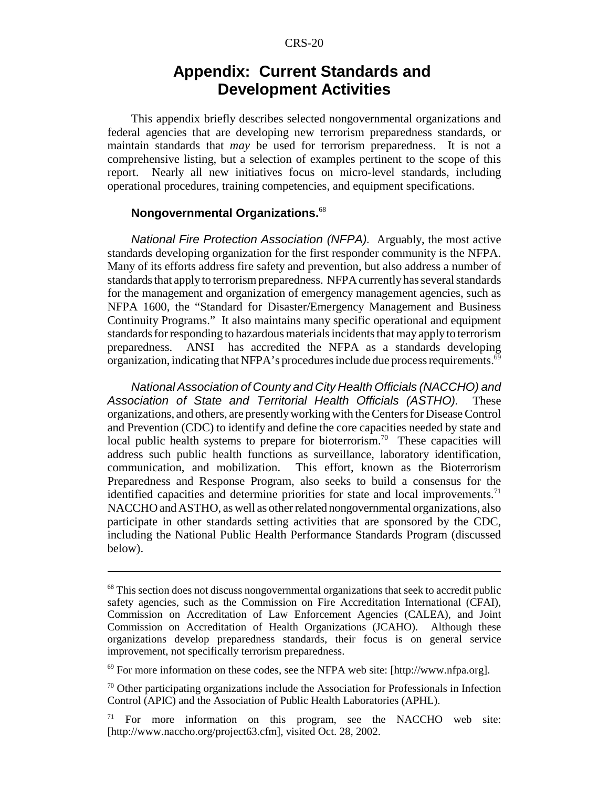# **Appendix: Current Standards and Development Activities**

This appendix briefly describes selected nongovernmental organizations and federal agencies that are developing new terrorism preparedness standards, or maintain standards that *may* be used for terrorism preparedness. It is not a comprehensive listing, but a selection of examples pertinent to the scope of this report. Nearly all new initiatives focus on micro-level standards, including operational procedures, training competencies, and equipment specifications.

#### **Nongovernmental Organizations.**<sup>68</sup>

National Fire Protection Association (NFPA). Arguably, the most active standards developing organization for the first responder community is the NFPA. Many of its efforts address fire safety and prevention, but also address a number of standards that apply to terrorism preparedness. NFPA currently has several standards for the management and organization of emergency management agencies, such as NFPA 1600, the "Standard for Disaster/Emergency Management and Business Continuity Programs." It also maintains many specific operational and equipment standards for responding to hazardous materials incidents that may apply to terrorism preparedness. ANSI has accredited the NFPA as a standards developing organization, indicating that NFPA's procedures include due process requirements.<sup>69</sup>

National Association of County and City Health Officials (NACCHO) and Association of State and Territorial Health Officials (ASTHO). These organizations, and others, are presently working with the Centers for Disease Control and Prevention (CDC) to identify and define the core capacities needed by state and local public health systems to prepare for bioterrorism.<sup>70</sup> These capacities will address such public health functions as surveillance, laboratory identification, communication, and mobilization. This effort, known as the Bioterrorism Preparedness and Response Program, also seeks to build a consensus for the identified capacities and determine priorities for state and local improvements.<sup>71</sup> NACCHO and ASTHO, as well as other related nongovernmental organizations, also participate in other standards setting activities that are sponsored by the CDC, including the National Public Health Performance Standards Program (discussed below).

<sup>&</sup>lt;sup>68</sup> This section does not discuss nongovernmental organizations that seek to accredit public safety agencies, such as the Commission on Fire Accreditation International (CFAI), Commission on Accreditation of Law Enforcement Agencies (CALEA), and Joint Commission on Accreditation of Health Organizations (JCAHO). Although these organizations develop preparedness standards, their focus is on general service improvement, not specifically terrorism preparedness.

 $^{69}$  For more information on these codes, see the NFPA web site: [http://www.nfpa.org].

<sup>70</sup> Other participating organizations include the Association for Professionals in Infection Control (APIC) and the Association of Public Health Laboratories (APHL).

 $71$  For more information on this program, see the NACCHO web site: [http://www.naccho.org/project63.cfm], visited Oct. 28, 2002.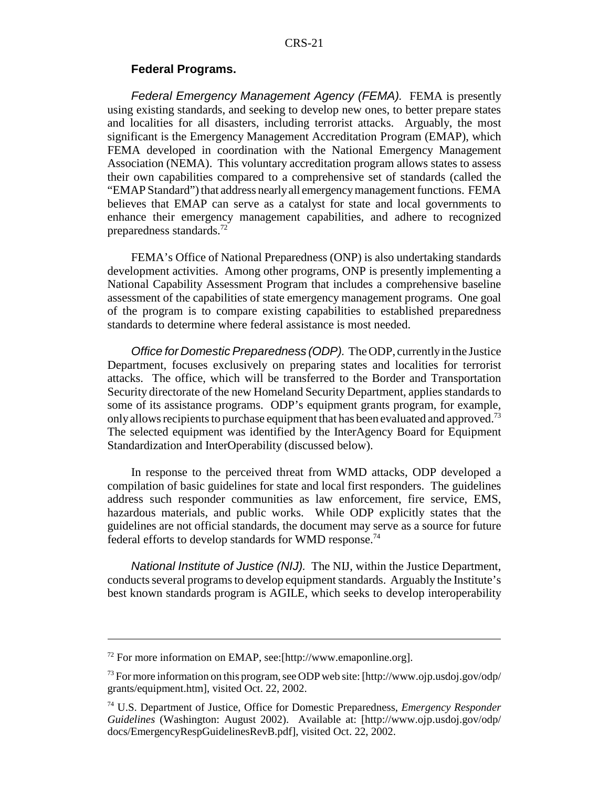#### **Federal Programs.**

Federal Emergency Management Agency (FEMA). FEMA is presently using existing standards, and seeking to develop new ones, to better prepare states and localities for all disasters, including terrorist attacks. Arguably, the most significant is the Emergency Management Accreditation Program (EMAP), which FEMA developed in coordination with the National Emergency Management Association (NEMA). This voluntary accreditation program allows states to assess their own capabilities compared to a comprehensive set of standards (called the "EMAP Standard") that address nearly all emergency management functions. FEMA believes that EMAP can serve as a catalyst for state and local governments to enhance their emergency management capabilities, and adhere to recognized preparedness standards.72

FEMA's Office of National Preparedness (ONP) is also undertaking standards development activities. Among other programs, ONP is presently implementing a National Capability Assessment Program that includes a comprehensive baseline assessment of the capabilities of state emergency management programs. One goal of the program is to compare existing capabilities to established preparedness standards to determine where federal assistance is most needed.

Office for Domestic Preparedness (ODP). The ODP, currently in the Justice Department, focuses exclusively on preparing states and localities for terrorist attacks. The office, which will be transferred to the Border and Transportation Security directorate of the new Homeland Security Department, applies standards to some of its assistance programs. ODP's equipment grants program, for example, only allows recipients to purchase equipment that has been evaluated and approved.<sup>73</sup> The selected equipment was identified by the InterAgency Board for Equipment Standardization and InterOperability (discussed below).

In response to the perceived threat from WMD attacks, ODP developed a compilation of basic guidelines for state and local first responders. The guidelines address such responder communities as law enforcement, fire service, EMS, hazardous materials, and public works. While ODP explicitly states that the guidelines are not official standards, the document may serve as a source for future federal efforts to develop standards for WMD response.74

National Institute of Justice (NIJ). The NIJ, within the Justice Department, conducts several programs to develop equipment standards. Arguably the Institute's best known standards program is AGILE, which seeks to develop interoperability

<sup>72</sup> For more information on EMAP, see:[http://www.emaponline.org].

<sup>&</sup>lt;sup>73</sup> For more information on this program, see ODP web site:  $[http://www.ojp.usdoj.gov/ody/$ grants/equipment.htm], visited Oct. 22, 2002.

<sup>74</sup> U.S. Department of Justice, Office for Domestic Preparedness, *Emergency Responder Guidelines* (Washington: August 2002). Available at: [http://www.ojp.usdoj.gov/odp/ docs/EmergencyRespGuidelinesRevB.pdf], visited Oct. 22, 2002.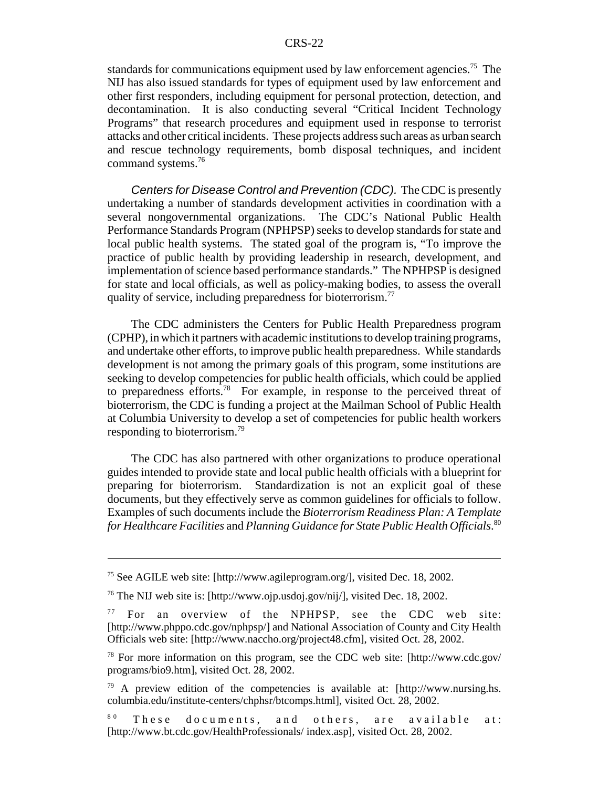standards for communications equipment used by law enforcement agencies.<sup>75</sup> The NIJ has also issued standards for types of equipment used by law enforcement and other first responders, including equipment for personal protection, detection, and decontamination. It is also conducting several "Critical Incident Technology Programs" that research procedures and equipment used in response to terrorist attacks and other critical incidents. These projects address such areas as urban search and rescue technology requirements, bomb disposal techniques, and incident command systems.76

Centers for Disease Control and Prevention (CDC). The CDC is presently undertaking a number of standards development activities in coordination with a several nongovernmental organizations. The CDC's National Public Health Performance Standards Program (NPHPSP) seeks to develop standards for state and local public health systems. The stated goal of the program is, "To improve the practice of public health by providing leadership in research, development, and implementation of science based performance standards." The NPHPSP is designed for state and local officials, as well as policy-making bodies, to assess the overall quality of service, including preparedness for bioterrorism.<sup>77</sup>

The CDC administers the Centers for Public Health Preparedness program (CPHP), in which it partners with academic institutions to develop training programs, and undertake other efforts, to improve public health preparedness. While standards development is not among the primary goals of this program, some institutions are seeking to develop competencies for public health officials, which could be applied to preparedness efforts.78 For example, in response to the perceived threat of bioterrorism, the CDC is funding a project at the Mailman School of Public Health at Columbia University to develop a set of competencies for public health workers responding to bioterrorism.79

The CDC has also partnered with other organizations to produce operational guides intended to provide state and local public health officials with a blueprint for preparing for bioterrorism. Standardization is not an explicit goal of these documents, but they effectively serve as common guidelines for officials to follow. Examples of such documents include the *Bioterrorism Readiness Plan: A Template for Healthcare Facilities* and *Planning Guidance for State Public Health Officials*. 80

<sup>75</sup> See AGILE web site: [http://www.agileprogram.org/], visited Dec. 18, 2002.

<sup>76</sup> The NIJ web site is: [http://www.ojp.usdoj.gov/nij/], visited Dec. 18, 2002.

<sup>7 7</sup> For an overview of the NPHPSP, see the CDC web site: [http://www.phppo.cdc.gov/nphpsp/] and National Association of County and City Health Officials web site: [http://www.naccho.org/project48.cfm], visited Oct. 28, 2002.

<sup>78</sup> For more information on this program, see the CDC web site: [http://www.cdc.gov/ programs/bio9.htm], visited Oct. 28, 2002.

<sup>79</sup> A preview edition of the competencies is available at: [http://www.nursing.hs. columbia.edu/institute-centers/chphsr/btcomps.html], visited Oct. 28, 2002.

 $80$  These documents, and others, are available at: [http://www.bt.cdc.gov/HealthProfessionals/ index.asp], visited Oct. 28, 2002.